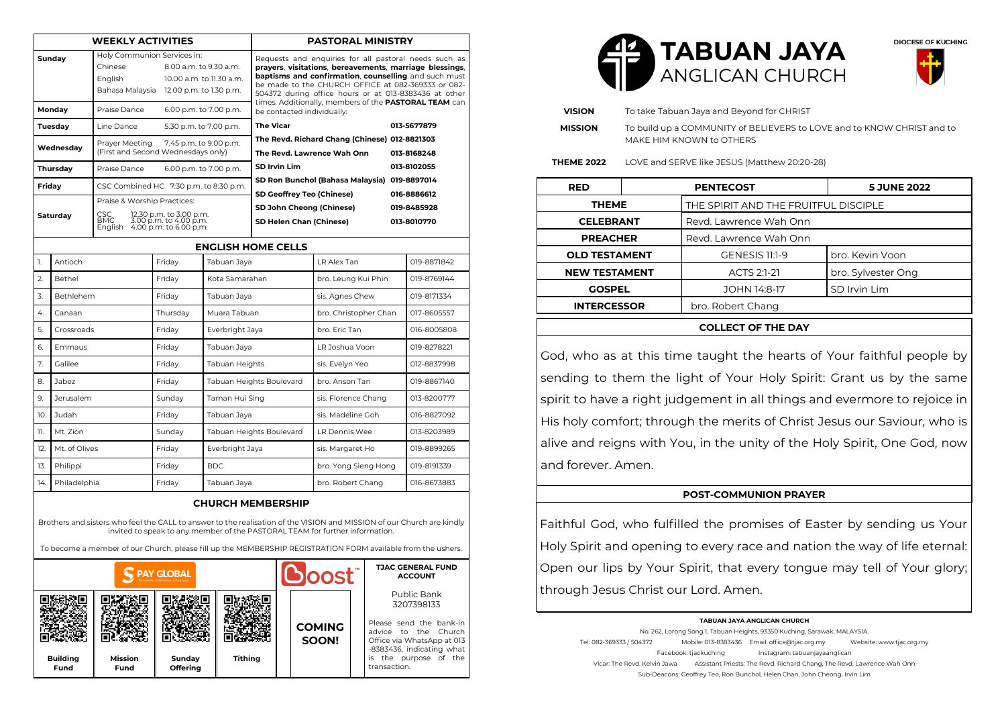| <b>WEEKLY ACTIVITIES</b>                                                                                                                                                                                                           |                                       |                                                                                                                                                    |          | <b>PASTORAL MINISTRY</b>                   |                                                                                                                                                                                                                                                                                         |                       |  |                                           |  |
|------------------------------------------------------------------------------------------------------------------------------------------------------------------------------------------------------------------------------------|---------------------------------------|----------------------------------------------------------------------------------------------------------------------------------------------------|----------|--------------------------------------------|-----------------------------------------------------------------------------------------------------------------------------------------------------------------------------------------------------------------------------------------------------------------------------------------|-----------------------|--|-------------------------------------------|--|
| Sundav                                                                                                                                                                                                                             |                                       | Holy Communion Services in:<br>Chinese<br>8.00 a.m. to 9.30 a.m.<br>English<br>10.00 a.m. to 11.30 a.m.<br>Bahasa Malaysia 12.00 p.m. to 1.30 p.m. |          |                                            | Requests and enquiries for all pastoral needs such as<br>prayers, visitations, bereavements, marriage blessings,<br>baptisms and confirmation, counselling and such must<br>be made to the CHURCH OFFICE at 082-369333 or 082-<br>504372 during office hours or at 013-8383436 at other |                       |  |                                           |  |
| Monday                                                                                                                                                                                                                             |                                       | Praise Dance<br>6.00 p.m. to 7.00 p.m.                                                                                                             |          |                                            | times. Additionally, members of the PASTORAL TEAM can<br>be contacted individually:                                                                                                                                                                                                     |                       |  |                                           |  |
| Tuesdav                                                                                                                                                                                                                            |                                       | Line Dance                                                                                                                                         |          | <b>The Vicar</b><br>5.30 p.m. to 7.00 p.m. |                                                                                                                                                                                                                                                                                         |                       |  | 013-5677879                               |  |
| Wednesday                                                                                                                                                                                                                          |                                       | Prayer Meeting<br>7.45 p.m. to 9.00 p.m.<br>(First and Second Wednesdays only)                                                                     |          |                                            | The Revd. Richard Chang (Chinese) 012-8821303<br>The Revd. Lawrence Wah Onn<br>013-8168248<br><b>SD Irvin Lim</b><br>013-8102055<br>SD Ron Bunchol (Bahasa Malaysia) 019-8897014                                                                                                        |                       |  |                                           |  |
| Thursday                                                                                                                                                                                                                           |                                       | Praise Dance<br>6.00 p.m. to 7.00 p.m.                                                                                                             |          |                                            |                                                                                                                                                                                                                                                                                         |                       |  |                                           |  |
| Friday                                                                                                                                                                                                                             |                                       | CSC Combined HC 7:30 p.m. to 8:30 p.m.                                                                                                             |          |                                            |                                                                                                                                                                                                                                                                                         |                       |  |                                           |  |
| Saturday                                                                                                                                                                                                                           |                                       | Praise & Worship Practices:<br>12.30 p.m. to 3.00 p.m.<br>3.00 p.m. to 4.00 p.m.<br>4.00 p.m. to 6.00 p.m.<br>CSC.<br><b>BMC</b><br>English        |          |                                            | SD Geoffrey Teo (Chinese)<br>SD John Cheong (Chinese)<br>SD Helen Chan (Chinese)                                                                                                                                                                                                        |                       |  | 016-8886612<br>019-8485928<br>013-8010770 |  |
| <b>ENGLISH HOME CELLS</b>                                                                                                                                                                                                          |                                       |                                                                                                                                                    |          |                                            |                                                                                                                                                                                                                                                                                         |                       |  |                                           |  |
| 1.                                                                                                                                                                                                                                 | Antioch                               |                                                                                                                                                    | Fridav   | Tabuan Jaya                                |                                                                                                                                                                                                                                                                                         | LR Alex Tan           |  | 019-8871842                               |  |
| 2.                                                                                                                                                                                                                                 | <b>Bethel</b>                         |                                                                                                                                                    | Friday   | Kota Samarahan                             |                                                                                                                                                                                                                                                                                         | bro. Leung Kui Phin   |  | 019-8769144                               |  |
| 3.                                                                                                                                                                                                                                 | Bethlehem                             |                                                                                                                                                    | Friday   | Tabuan Jaya                                |                                                                                                                                                                                                                                                                                         | sis. Agnes Chew       |  | 019-8171334                               |  |
| 4.                                                                                                                                                                                                                                 | Canaan                                |                                                                                                                                                    | Thursday | Muara Tabuan                               |                                                                                                                                                                                                                                                                                         | bro. Christopher Chan |  | 017-8605557                               |  |
| 5.                                                                                                                                                                                                                                 | Crossroads                            |                                                                                                                                                    | Friday   | Everbright Jaya                            |                                                                                                                                                                                                                                                                                         | bro. Eric Tan         |  | 016-8005808                               |  |
| 6.                                                                                                                                                                                                                                 | <b>Fmmaus</b>                         |                                                                                                                                                    | Friday   | Tabuan Jaya                                |                                                                                                                                                                                                                                                                                         | LR Joshua Voon        |  | 019-8278221                               |  |
| 7.                                                                                                                                                                                                                                 | Galilee                               |                                                                                                                                                    | Friday   | Tabuan Heights                             |                                                                                                                                                                                                                                                                                         | sis. Evelyn Yeo       |  | 012-8837998                               |  |
| 8.                                                                                                                                                                                                                                 | Jabez                                 |                                                                                                                                                    | Friday   | Tabuan Heights Boulevard                   |                                                                                                                                                                                                                                                                                         | bro. Anson Tan        |  | 019-8867140                               |  |
| 9.                                                                                                                                                                                                                                 | Jerusalem                             |                                                                                                                                                    | Sunday   | Taman Hui Sing                             |                                                                                                                                                                                                                                                                                         | sis. Florence Chang   |  | 013-8200777                               |  |
| 10.                                                                                                                                                                                                                                | Judah                                 |                                                                                                                                                    | Friday   | Tabuan Jaya                                |                                                                                                                                                                                                                                                                                         | sis. Madeline Goh     |  | 016-8827092                               |  |
| 11.                                                                                                                                                                                                                                | Mt. Zion                              |                                                                                                                                                    | Sunday   | Tabuan Heights Boulevard                   |                                                                                                                                                                                                                                                                                         | LR Dennis Wee         |  | 013-8203989                               |  |
| 12.                                                                                                                                                                                                                                | Mt. of Olives                         |                                                                                                                                                    | Friday   | Everbright Jaya                            |                                                                                                                                                                                                                                                                                         | sis. Margaret Ho      |  | 019-8899265                               |  |
| 13.                                                                                                                                                                                                                                | Philippi                              |                                                                                                                                                    | Friday   | <b>BDC</b>                                 |                                                                                                                                                                                                                                                                                         | bro. Yong Sieng Hong  |  | 019-8191339                               |  |
| 14.                                                                                                                                                                                                                                | Philadelphia<br>Friday<br>Tabuan Jaya |                                                                                                                                                    |          | bro. Robert Chang                          |                                                                                                                                                                                                                                                                                         | 016-8673883           |  |                                           |  |
| <b>CHURCH MEMBERSHIP</b><br>Brothers and sisters who feel the CALL to answer to the realisation of the VISION and MISSION of our Church are kindly<br>invited to speak to any member of the PASTORAL TEAM for further information. |                                       |                                                                                                                                                    |          |                                            |                                                                                                                                                                                                                                                                                         |                       |  |                                           |  |

To become a member of our Church, please fill up the MEMBERSHIP REGISTRATION FORM available from the ushers.

| <b>PAY GLOBAL</b>              |                        |                    |                | <b>Loost</b> |                        | <b>TJAC GENERAL FUND</b><br><b>ACCOUNT</b>                                                                                                                                       |  |
|--------------------------------|------------------------|--------------------|----------------|--------------|------------------------|----------------------------------------------------------------------------------------------------------------------------------------------------------------------------------|--|
| <b>Building</b><br><b>Fund</b> | <b>Mission</b><br>Fund | Sunday<br>Offering | <b>Tithing</b> |              | <b>COMING</b><br>SOON! | Public Bank<br>3207398133<br>Please send the bank-in<br>advice to the Church<br>Office via WhatsApp at 013<br>-8383436, indicating what<br>is the purpose of the<br>transaction. |  |





| <b>VISION</b>        | To take Tabuan Jaya and Beyond for CHRIST |                                                                                                    |                    |  |  |  |  |  |
|----------------------|-------------------------------------------|----------------------------------------------------------------------------------------------------|--------------------|--|--|--|--|--|
| <b>MISSION</b>       |                                           | To build up a COMMUNITY of BELIEVERS to LOVE and to KNOW CHRIST and to<br>MAKE HIM KNOWN to OTHERS |                    |  |  |  |  |  |
| <b>THEME 2022</b>    |                                           | LOVE and SERVE like JESUS (Matthew 20:20-28)                                                       |                    |  |  |  |  |  |
| <b>RED</b>           |                                           | <b>PENTECOST</b>                                                                                   | 5 JUNE 2022        |  |  |  |  |  |
| THEME                |                                           | THE SPIRIT AND THE FRUITFUL DISCIPLE                                                               |                    |  |  |  |  |  |
| <b>CELEBRANT</b>     |                                           | Revd. Lawrence Wah Onn                                                                             |                    |  |  |  |  |  |
| <b>PREACHER</b>      |                                           | Revd. Lawrence Wah Onn                                                                             |                    |  |  |  |  |  |
| <b>OLD TESTAMENT</b> |                                           | <b>GENESIS 11:1-9</b>                                                                              | bro. Kevin Voon    |  |  |  |  |  |
| <b>NEW TESTAMENT</b> |                                           | ACTS 2:1-21                                                                                        | bro. Sylvester Ong |  |  |  |  |  |
| <b>GOSPEL</b>        |                                           | JOHN 14:8-17                                                                                       | SD Irvin Lim       |  |  |  |  |  |
| <b>INTERCESSOR</b>   |                                           | bro. Robert Chang                                                                                  |                    |  |  |  |  |  |
|                      |                                           | <b>COLLECT OF THE DAY</b>                                                                          |                    |  |  |  |  |  |

God, who as at this time taught the hearts of Your faithful people by sending to them the light of Your Holy Spirit: Grant us by the same spirit to have a right judgement in all things and evermore to rejoice in His holy comfort; through the merits of Christ Jesus our Saviour, who is alive and reigns with You, in the unity of the Holy Spirit, One God, now and forever. Amen.

#### **POST-COMMUNION PRAYER**

Faithful God, who fulfilled the promises of Easter by sending us Your Holy Spirit and opening to every race and nation the way of life eternal: Open our lips by Your Spirit, that every tongue may tell of Your glory; through Jesus Christ our Lord. Amen.

#### **TABUAN JAYA ANGLICAN CHURCH**

No. 262, Lorong Song 1, Tabuan Heights, 93350 Kuching, Sarawak, MALAYSIA. Tel: 082-369333 / 504372 Mobile: 013-8383436 Email: office@tjac.org.my Website: www.tjac.org.my Facebook: tiackuching Instagram: tabuanjayaanglican Vicar: The Revd. Kelvin Jawa Assistant Priests: The Revd. Richard Chang, The Revd. Lawrence Wah Onn Sub-Deacons: Geoffrey Teo, Ron Bunchol, Helen Chan, John Cheong, Irvin Lim